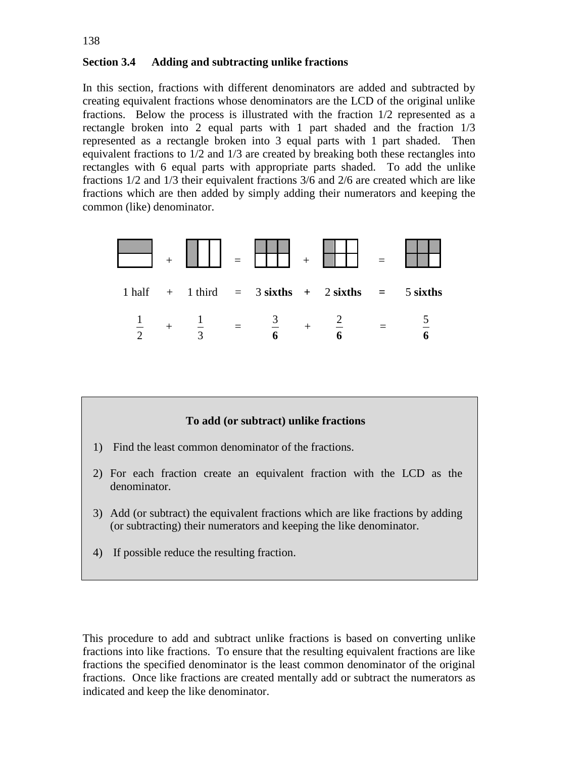## **Section 3.4 Adding and subtracting unlike fractions**

In this section, fractions with different denominators are added and subtracted by creating equivalent fractions whose denominators are the LCD of the original unlike fractions. Below the process is illustrated with the fraction 1/2 represented as a rectangle broken into 2 equal parts with 1 part shaded and the fraction 1/3 represented as a rectangle broken into 3 equal parts with 1 part shaded. Then equivalent fractions to 1/2 and 1/3 are created by breaking both these rectangles into rectangles with 6 equal parts with appropriate parts shaded. To add the unlike fractions 1/2 and 1/3 their equivalent fractions 3/6 and 2/6 are created which are like fractions which are then added by simply adding their numerators and keeping the common (like) denominator.



# **To add (or subtract) unlike fractions**

- 1) Find the least common denominator of the fractions.
- 2) For each fraction create an equivalent fraction with the LCD as the denominator.
- 3) Add (or subtract) the equivalent fractions which are like fractions by adding (or subtracting) their numerators and keeping the like denominator.
- 4) If possible reduce the resulting fraction.

This procedure to add and subtract unlike fractions is based on converting unlike fractions into like fractions. To ensure that the resulting equivalent fractions are like fractions the specified denominator is the least common denominator of the original fractions. Once like fractions are created mentally add or subtract the numerators as indicated and keep the like denominator.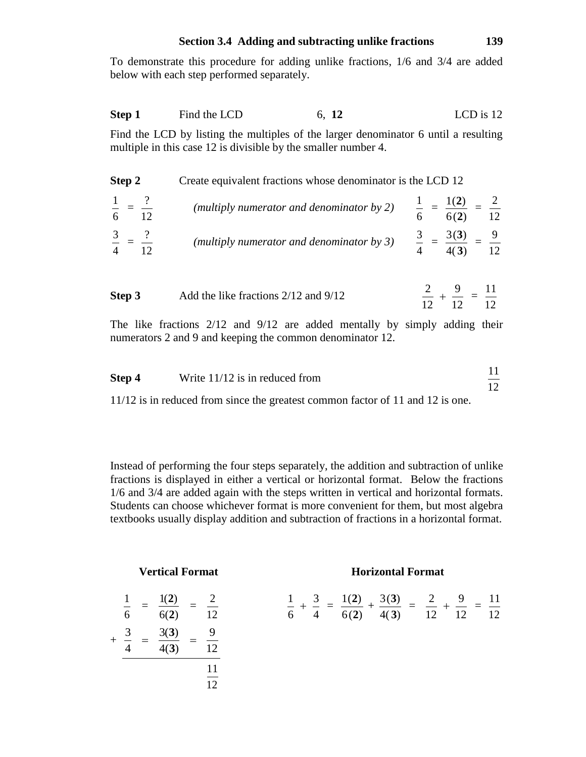## **Section 3.4 Adding and subtracting unlike fractions 139**

To demonstrate this procedure for adding unlike fractions, 1/6 and 3/4 are added below with each step performed separately.

**Step 1** Find the LCD 6, **12** LCD is 12

Find the LCD by listing the multiples of the larger denominator 6 until a resulting multiple in this case 12 is divisible by the smaller number 4.

| Step 2 | Create equivalent fractions whose denominator is the LCD 12 |                                                  |  |  |  |  |
|--------|-------------------------------------------------------------|--------------------------------------------------|--|--|--|--|
|        | (multiply numerator and denominator by 2)                   | $\frac{1}{2}$ = $\frac{1(2)}{2}$ -<br>6(2)<br>12 |  |  |  |  |
|        | (multiply numerator and denominator by 3)                   | 3(3)<br>12                                       |  |  |  |  |

| Step 3 | Add the like fractions $2/12$ and $9/12$ | 2 9 11<br>$- + - = -$<br>12 12 12 |  |
|--------|------------------------------------------|-----------------------------------|--|
|        |                                          |                                   |  |

The like fractions 2/12 and 9/12 are added mentally by simply adding their numerators 2 and 9 and keeping the common denominator 12.

| Step 4 | Write $11/12$ is in reduced from |  |
|--------|----------------------------------|--|
|        |                                  |  |

11/12 is in reduced from since the greatest common factor of 11 and 12 is one.

Instead of performing the four steps separately, the addition and subtraction of unlike fractions is displayed in either a vertical or horizontal format. Below the fractions 1/6 and 3/4 are added again with the steps written in vertical and horizontal formats. Students can choose whichever format is more convenient for them, but most algebra textbooks usually display addition and subtraction of fractions in a horizontal format.

| 1<br>$\overline{6}$ | 1(2)<br>6(2) | 2<br>12  |
|---------------------|--------------|----------|
| 3                   | 3(3)<br>4(3) | 9<br>12  |
|                     |              | 11<br>12 |

## **Vertical Format Horizontal Format**

$$
\frac{1}{6} + \frac{3}{4} = \frac{1(2)}{6(2)} + \frac{3(3)}{4(3)} = \frac{2}{12} + \frac{9}{12} = \frac{11}{12}
$$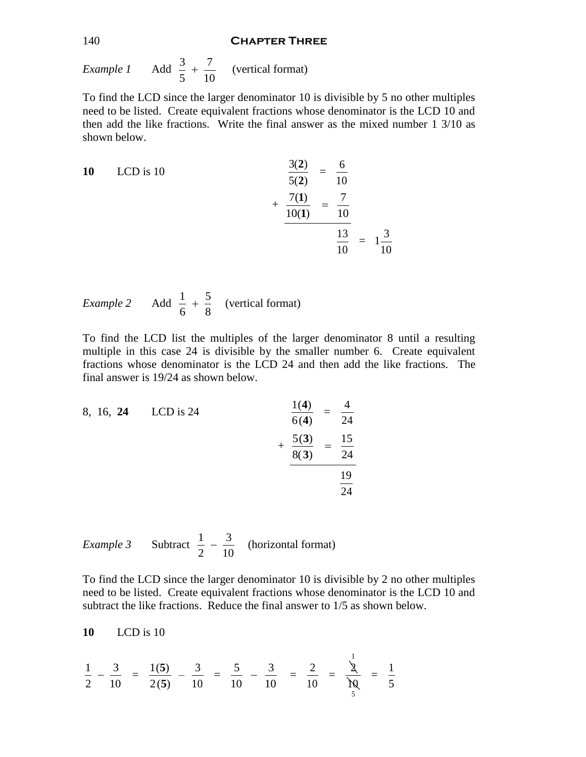#### 140 **Chapter Three**

*Example 1* 3 7 5 10  $+$   $\frac{7}{10}$  (vertical format)

To find the LCD since the larger denominator 10 is divisible by 5 no other multiples need to be listed. Create equivalent fractions whose denominator is the LCD 10 and then add the like fractions. Write the final answer as the mixed number 1 3/10 as shown below.

10 LCD is 10  
\n
$$
\frac{3(2)}{5(2)} = \frac{6}{10}
$$
\n
$$
+\frac{7(1)}{10(1)} = \frac{7}{10}
$$
\n
$$
\frac{13}{10} = 1\frac{3}{10}
$$

*Example 2* 1 5 6 8  $+\frac{5}{6}$  (vertical format)

To find the LCD list the multiples of the larger denominator 8 until a resulting multiple in this case 24 is divisible by the smaller number 6. Create equivalent fractions whose denominator is the LCD 24 and then add the like fractions. The final answer is 19/24 as shown below.

8, 16, 24 LCD is 24  
\n
$$
\frac{1(4)}{6(4)} = \frac{4}{24}
$$
\n
$$
+\frac{5(3)}{8(3)} = \frac{15}{24}
$$
\n
$$
\frac{19}{24}
$$

*Example 3* Subtract  $\frac{1}{2} - \frac{3}{16}$ 2 10  $-\frac{9}{10}$  (horizontal format)

To find the LCD since the larger denominator 10 is divisible by 2 no other multiples need to be listed. Create equivalent fractions whose denominator is the LCD 10 and subtract the like fractions. Reduce the final answer to 1/5 as shown below.

1

$$
10 \qquad \text{LCD is 10}
$$

$$
\frac{1}{2} - \frac{3}{10} = \frac{1(5)}{2(5)} - \frac{3}{10} = \frac{5}{10} - \frac{3}{10} = \frac{2}{10} = \frac{1}{\frac{1}{10}} = \frac{1}{5}
$$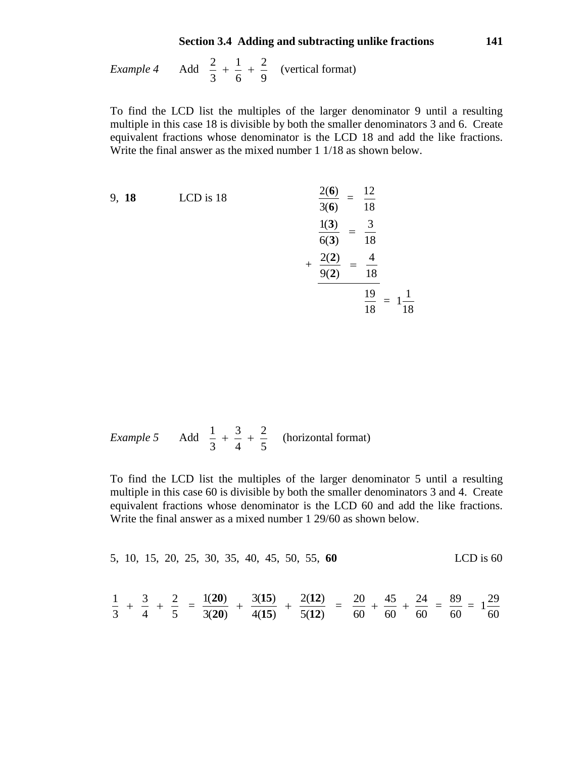## **Section 3.4 Adding and subtracting unlike fractions 141**

*Example 4*  $2 \t1 \t2$ 369  $+\frac{1}{x}+\frac{2}{y}$  (vertical format)

To find the LCD list the multiples of the larger denominator 9 until a resulting multiple in this case 18 is divisible by both the smaller denominators 3 and 6. Create equivalent fractions whose denominator is the LCD 18 and add the like fractions. Write the final answer as the mixed number 1 1/18 as shown below.

9, 18 LCD is 18  
\n
$$
\frac{2(6)}{3(6)} = \frac{12}{18}
$$
\n
$$
\frac{1(3)}{6(3)} = \frac{3}{18}
$$
\n
$$
+\frac{2(2)}{9(2)} = \frac{4}{18}
$$
\n
$$
\frac{19}{18} = 1\frac{1}{18}
$$

Example 5 Add 
$$
\frac{1}{3} + \frac{3}{4} + \frac{2}{5}
$$
 (horizontal format)

To find the LCD list the multiples of the larger denominator 5 until a resulting multiple in this case 60 is divisible by both the smaller denominators 3 and 4. Create equivalent fractions whose denominator is the LCD 60 and add the like fractions. Write the final answer as a mixed number 1 29/60 as shown below.

5, 10, 15, 20, 25, 30, 35, 40, 45, 50, 55, **60**  
\n
$$
\frac{1}{3} + \frac{3}{4} + \frac{2}{5} = \frac{1(20)}{3(20)} + \frac{3(15)}{4(15)} + \frac{2(12)}{5(12)} = \frac{20}{60} + \frac{45}{60} + \frac{24}{60} = \frac{89}{60} = 1\frac{29}{60}
$$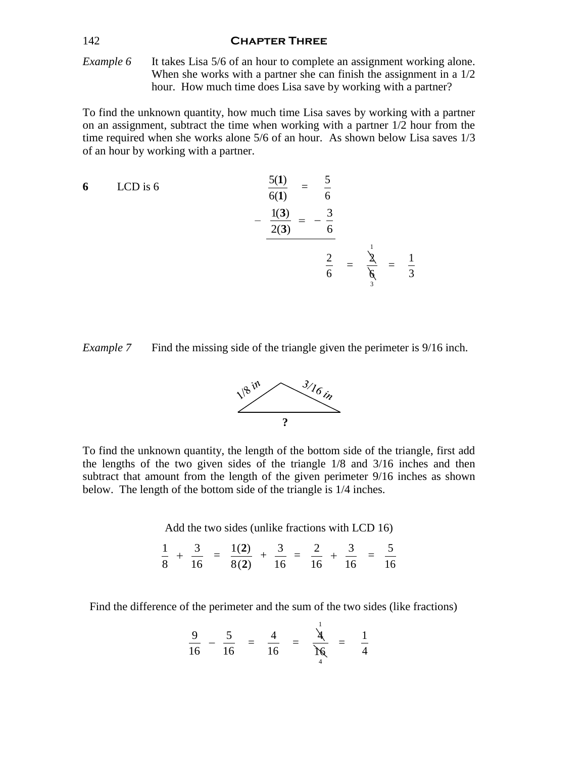### 142 **Chapter Three**

*Example 6* It takes Lisa 5/6 of an hour to complete an assignment working alone. When she works with a partner she can finish the assignment in a  $1/2$ hour. How much time does Lisa save by working with a partner?

To find the unknown quantity, how much time Lisa saves by working with a partner on an assignment, subtract the time when working with a partner 1/2 hour from the time required when she works alone 5/6 of an hour. As shown below Lisa saves 1/3 of an hour by working with a partner.

6 LCD is 6  
\n
$$
\frac{5(1)}{6(1)} = \frac{5}{6}
$$
\n
$$
-\frac{1(3)}{2(3)} = -\frac{3}{6}
$$
\n
$$
\frac{2}{6} = \frac{1}{\frac{3}{6}} = \frac{1}{3}
$$





To find the unknown quantity, the length of the bottom side of the triangle, first add the lengths of the two given sides of the triangle 1/8 and 3/16 inches and then subtract that amount from the length of the given perimeter 9/16 inches as shown below. The length of the bottom side of the triangle is 1/4 inches.

Add the two sides (unlike fractions with LCD 16)

$$
\frac{1}{8} + \frac{3}{16} = \frac{1(2)}{8(2)} + \frac{3}{16} = \frac{2}{16} + \frac{3}{16} = \frac{5}{16}
$$

Find the difference of the perimeter and the sum of the two sides (like fractions)

$$
\frac{9}{16} - \frac{5}{16} = \frac{4}{16} = \frac{4}{16} = \frac{1}{16} = \frac{1}{4}
$$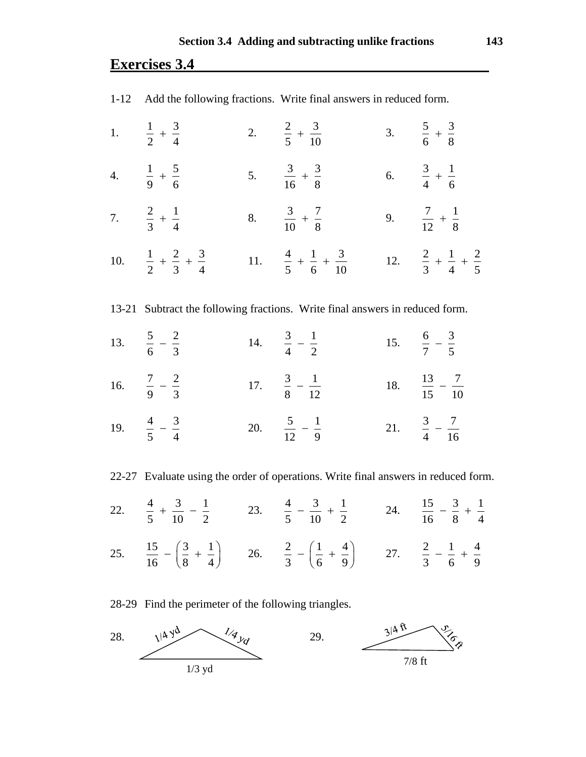# **Exercises 3.4**

| 1-12 Add the following fractions. Write final answers in reduced form.       |  |                                                                                    |  |                                               |  |  |
|------------------------------------------------------------------------------|--|------------------------------------------------------------------------------------|--|-----------------------------------------------|--|--|
| 1. $\frac{1}{2} + \frac{3}{4}$                                               |  | 2. $\frac{2}{5} + \frac{3}{10}$                                                    |  | 3. $\frac{5}{6} + \frac{3}{8}$                |  |  |
| 4. $\frac{1}{9} + \frac{5}{6}$                                               |  | 5. $\frac{3}{16} + \frac{3}{8}$                                                    |  | 6. $\frac{3}{4} + \frac{1}{6}$                |  |  |
| 7. $\frac{2}{3} + \frac{1}{4}$                                               |  | 8. $\frac{3}{10} + \frac{7}{8}$                                                    |  | 9. $\frac{7}{12} + \frac{1}{8}$               |  |  |
| 10. $\frac{1}{2} + \frac{2}{3} + \frac{3}{4}$                                |  | 11. $\frac{4}{5} + \frac{1}{6} + \frac{3}{10}$                                     |  | 12. $\frac{2}{3} + \frac{1}{4} + \frac{2}{5}$ |  |  |
| 13-21 Subtract the following fractions. Write final answers in reduced form. |  |                                                                                    |  |                                               |  |  |
| 13. $rac{5}{6} - \frac{2}{3}$                                                |  | 14. $\frac{3}{4} - \frac{1}{2}$                                                    |  | 15. $\frac{6}{7} - \frac{3}{5}$               |  |  |
| 16. $\frac{7}{9} - \frac{2}{3}$                                              |  | 17. $\frac{3}{8} - \frac{1}{12}$                                                   |  | 18. $\frac{13}{15} - \frac{7}{10}$            |  |  |
| 19. $\frac{4}{5} - \frac{3}{4}$                                              |  | 20. $rac{5}{12} - \frac{1}{9}$                                                     |  | 21. $\frac{3}{4} - \frac{7}{16}$              |  |  |
|                                                                              |  | 22-27 Evaluate using the order of operations. Write final answers in reduced form. |  |                                               |  |  |

22.  $\frac{4}{7} + \frac{3}{10} - \frac{1}{2}$ 5 10 2  $+\frac{3}{10}-\frac{1}{2}$  23.  $\frac{4}{7}-\frac{3}{10}+\frac{1}{2}$ 5 10 2  $-\frac{3}{10} + \frac{1}{2}$  24.  $\frac{15}{11} - \frac{3}{10} + \frac{1}{10}$ 16 8 4  $-\frac{3}{6}$  + 25.  $\frac{15}{12} - \left(\frac{3}{2} + \frac{1}{2}\right)$  $16 \t (8 \t 4)$  $-\left(\frac{3}{8} + \frac{1}{4}\right)$  26.  $\frac{2}{3} - \left(\frac{1}{6} + \frac{4}{9}\right)$  $3 \sqrt{6}$  9  $-\left(\frac{1}{6} + \frac{4}{9}\right)$  27.  $\frac{2}{3} - \frac{1}{6} + \frac{4}{9}$ 3 6 9  $-\frac{1}{7}$  +

28-29 Find the perimeter of the following triangles.